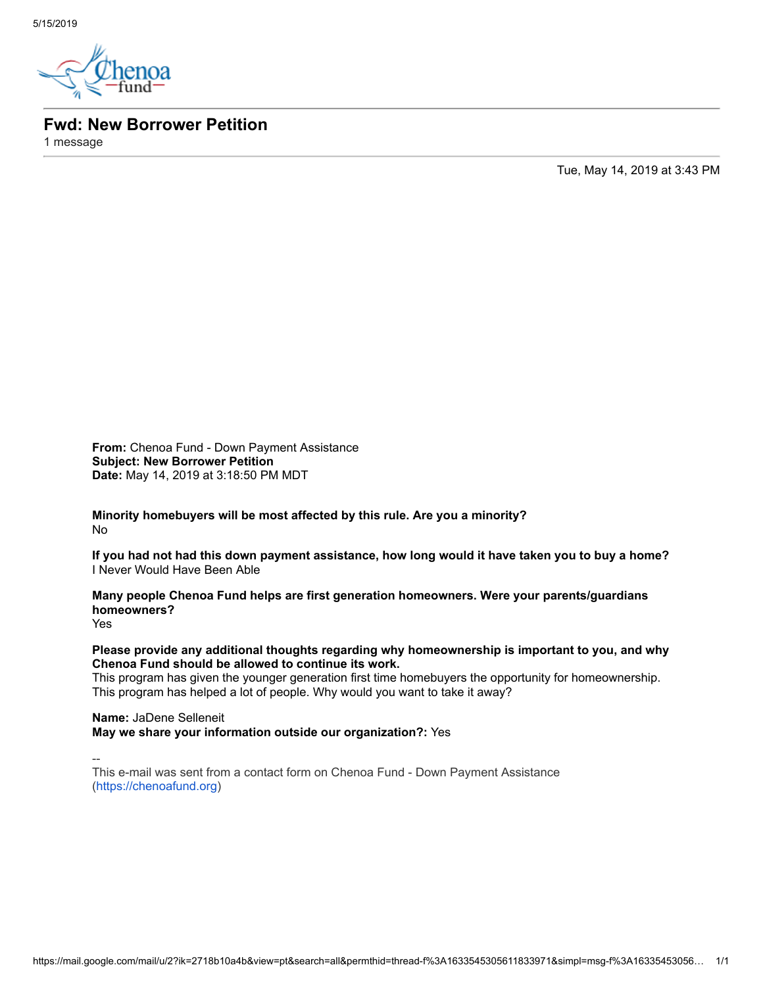

**Fwd: New Borrower Petition**

1 message

Tue, May 14, 2019 at 3:43 PM

**From:** Chenoa Fund - Down Payment Assistance **Subject: New Borrower Petition Date:** May 14, 2019 at 3:18:50 PM MDT

**Minority homebuyers will be most affected by this rule. Are you a minority?** No

**If you had not had this down payment assistance, how long would it have taken you to buy a home?** I Never Would Have Been Able

**Many people Chenoa Fund helps are first generation homeowners. Were your parents/guardians homeowners?**

Yes

**Please provide any additional thoughts regarding why homeownership is important to you, and why Chenoa Fund should be allowed to continue its work.**

This program has given the younger generation first time homebuyers the opportunity for homeownership. This program has helped a lot of people. Why would you want to take it away?

**Name:** JaDene Selleneit **May we share your information outside our organization?:** Yes

--

This e-mail was sent from a contact form on Chenoa Fund - Down Payment Assistance [\(https://chenoafund.org](https://chenoafund.org/))